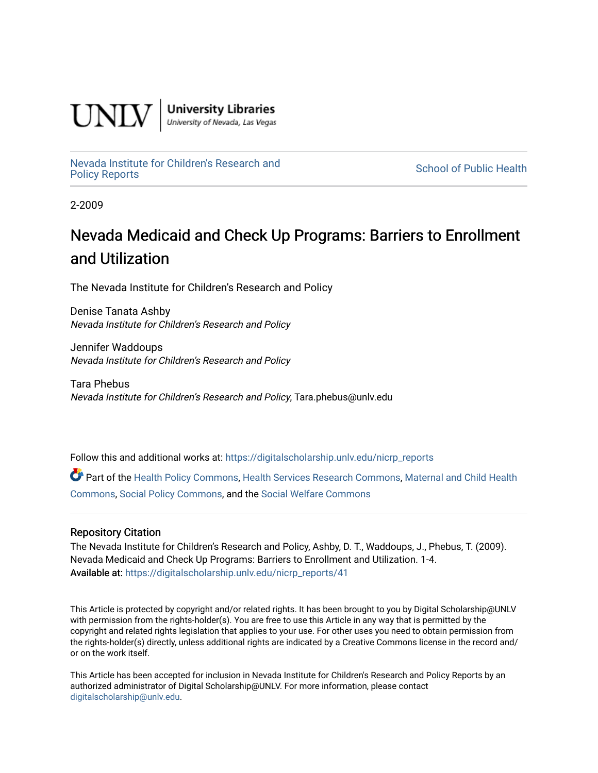

**University Libraries**<br>University of Nevada, Las Vegas

[Nevada Institute for Children's Research and](https://digitalscholarship.unlv.edu/nicrp_reports)

**School of Public Health** 

2-2009

# Nevada Medicaid and Check Up Programs: Barriers to Enrollment and Utilization

The Nevada Institute for Children's Research and Policy

Denise Tanata Ashby Nevada Institute for Children's Research and Policy

Jennifer Waddoups Nevada Institute for Children's Research and Policy

Tara Phebus Nevada Institute for Children's Research and Policy, Tara.phebus@unlv.edu

Follow this and additional works at: [https://digitalscholarship.unlv.edu/nicrp\\_reports](https://digitalscholarship.unlv.edu/nicrp_reports?utm_source=digitalscholarship.unlv.edu%2Fnicrp_reports%2F41&utm_medium=PDF&utm_campaign=PDFCoverPages)

Part of the [Health Policy Commons](http://network.bepress.com/hgg/discipline/395?utm_source=digitalscholarship.unlv.edu%2Fnicrp_reports%2F41&utm_medium=PDF&utm_campaign=PDFCoverPages), [Health Services Research Commons](http://network.bepress.com/hgg/discipline/816?utm_source=digitalscholarship.unlv.edu%2Fnicrp_reports%2F41&utm_medium=PDF&utm_campaign=PDFCoverPages), [Maternal and Child Health](http://network.bepress.com/hgg/discipline/745?utm_source=digitalscholarship.unlv.edu%2Fnicrp_reports%2F41&utm_medium=PDF&utm_campaign=PDFCoverPages)  [Commons](http://network.bepress.com/hgg/discipline/745?utm_source=digitalscholarship.unlv.edu%2Fnicrp_reports%2F41&utm_medium=PDF&utm_campaign=PDFCoverPages), [Social Policy Commons,](http://network.bepress.com/hgg/discipline/1030?utm_source=digitalscholarship.unlv.edu%2Fnicrp_reports%2F41&utm_medium=PDF&utm_campaign=PDFCoverPages) and the [Social Welfare Commons](http://network.bepress.com/hgg/discipline/401?utm_source=digitalscholarship.unlv.edu%2Fnicrp_reports%2F41&utm_medium=PDF&utm_campaign=PDFCoverPages) 

#### Repository Citation

The Nevada Institute for Children's Research and Policy, Ashby, D. T., Waddoups, J., Phebus, T. (2009). Nevada Medicaid and Check Up Programs: Barriers to Enrollment and Utilization. 1-4. Available at: [https://digitalscholarship.unlv.edu/nicrp\\_reports/41](https://digitalscholarship.unlv.edu/nicrp_reports/41) 

This Article is protected by copyright and/or related rights. It has been brought to you by Digital Scholarship@UNLV with permission from the rights-holder(s). You are free to use this Article in any way that is permitted by the copyright and related rights legislation that applies to your use. For other uses you need to obtain permission from the rights-holder(s) directly, unless additional rights are indicated by a Creative Commons license in the record and/ or on the work itself.

This Article has been accepted for inclusion in Nevada Institute for Children's Research and Policy Reports by an authorized administrator of Digital Scholarship@UNLV. For more information, please contact [digitalscholarship@unlv.edu](mailto:digitalscholarship@unlv.edu).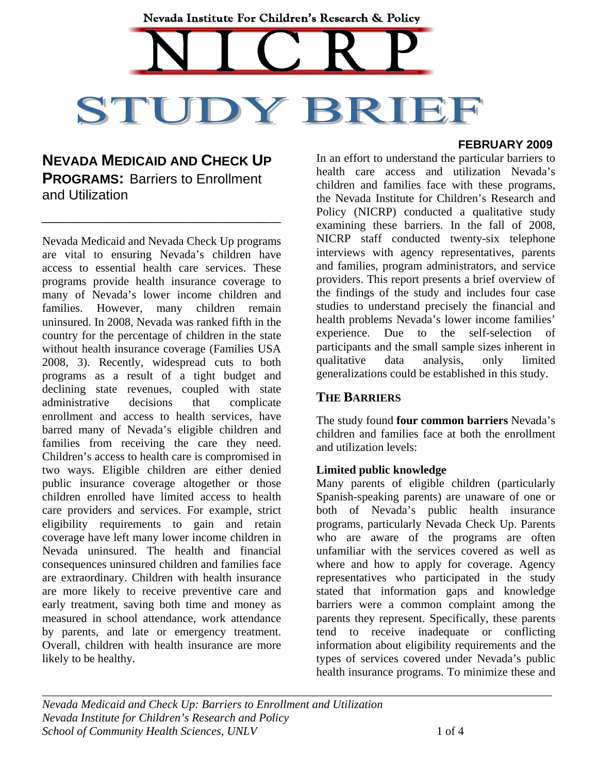# Nevada Institute For Children's Research & Policy STUDY BRIE

# **NEVADA MEDICAID AND CHECK UP PROGRAMS:** Barriers to Enrollment and Utilization

**\_\_\_\_\_\_\_\_\_\_\_\_\_\_\_\_\_\_\_\_\_\_**

Nevada Medicaid and Nevada Check Up programs are vital to ensuring Nevada's children have access to essential health care services. These programs provide health insurance coverage to many of Nevada's lower income children and families. However, many children remain uninsured. In 2008, Nevada was ranked fifth in the country for the percentage of children in the state without health insurance coverage (Families USA 2008, 3). Recently, widespread cuts to both programs as a result of a tight budget and declining state revenues, coupled with state administrative decisions that complicate enrollment and access to health services, have barred many of Nevada's eligible children and families from receiving the care they need. Children's access to health care is compromised in two ways. Eligible children are either denied public insurance coverage altogether or those children enrolled have limited access to health care providers and services. For example, strict eligibility requirements to gain and retain coverage have left many lower income children in Nevada uninsured. The health and financial consequences uninsured children and families face are extraordinary. Children with health insurance are more likely to receive preventive care and early treatment, saving both time and money as measured in school attendance, work attendance by parents, and late or emergency treatment. Overall, children with health insurance are more likely to be healthy.

#### **FEBRUARY 2009**

In an effort to understand the particular barriers to health care access and utilization Nevada's children and families face with these programs, the Nevada Institute for Children's Research and Policy (NICRP) conducted a qualitative study examining these barriers. In the fall of 2008, NICRP staff conducted twenty-six telephone interviews with agency representatives, parents and families, program administrators, and service providers. This report presents a brief overview of the findings of the study and includes four case studies to understand precisely the financial and health problems Nevada's lower income families' experience. Due to the self-selection of participants and the small sample sizes inherent in qualitative data analysis, only limited generalizations could be established in this study.

# **THE BARRIERS**

The study found **four common barriers** Nevada's children and families face at both the enrollment and utilization levels:

## **Limited public knowledge**

Many parents of eligible children (particularly Spanish-speaking parents) are unaware of one or both of Nevada's public health insurance programs, particularly Nevada Check Up. Parents who are aware of the programs are often unfamiliar with the services covered as well as where and how to apply for coverage. Agency representatives who participated in the study stated that information gaps and knowledge barriers were a common complaint among the parents they represent. Specifically, these parents tend to receive inadequate or conflicting information about eligibility requirements and the types of services covered under Nevada's public health insurance programs. To minimize these and

*\_\_\_\_\_\_\_\_\_\_\_\_\_\_\_\_\_\_\_\_\_\_\_\_\_\_\_\_\_\_\_\_\_\_\_\_\_\_\_\_\_\_\_\_\_\_\_\_\_\_\_\_\_\_\_\_\_\_\_\_\_\_\_\_\_\_\_\_\_\_\_\_\_\_\_\_\_\_\_\_\_\_\_\_\_\_\_ Nevada Medicaid and Check Up: Barriers to Enrollment and Utilization Nevada Institute for Children's Research and Policy School of Community Health Sciences, UNLV* 1 of 4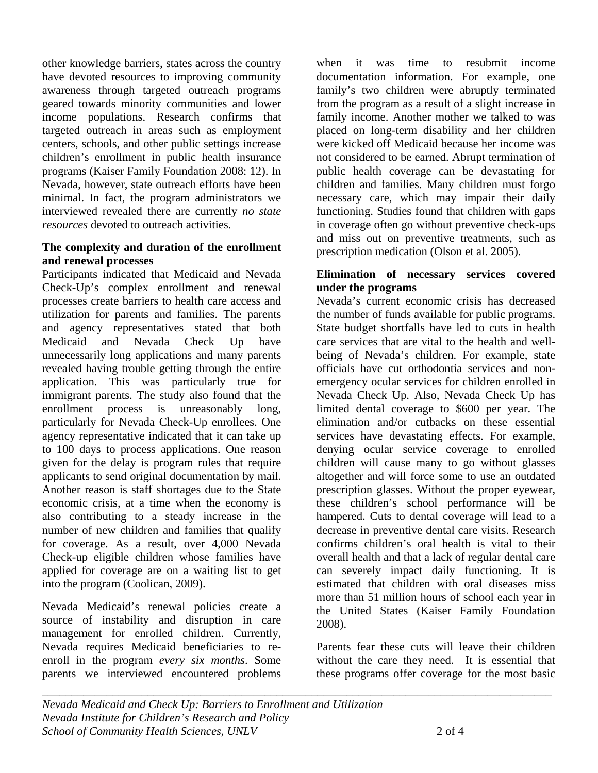other knowledge barriers, states across the country have devoted resources to improving community awareness through targeted outreach programs geared towards minority communities and lower income populations. Research confirms that targeted outreach in areas such as employment centers, schools, and other public settings increase children's enrollment in public health insurance programs (Kaiser Family Foundation 2008: 12). In Nevada, however, state outreach efforts have been minimal. In fact, the program administrators we interviewed revealed there are currently *no state resources* devoted to outreach activities.

#### **The complexity and duration of the enrollment and renewal processes**

Participants indicated that Medicaid and Nevada Check-Up's complex enrollment and renewal processes create barriers to health care access and utilization for parents and families. The parents and agency representatives stated that both Medicaid and Nevada Check Up have unnecessarily long applications and many parents revealed having trouble getting through the entire application. This was particularly true for immigrant parents. The study also found that the enrollment process is unreasonably long, particularly for Nevada Check-Up enrollees. One agency representative indicated that it can take up to 100 days to process applications. One reason given for the delay is program rules that require applicants to send original documentation by mail. Another reason is staff shortages due to the State economic crisis, at a time when the economy is also contributing to a steady increase in the number of new children and families that qualify for coverage. As a result, over 4,000 Nevada Check-up eligible children whose families have applied for coverage are on a waiting list to get into the program (Coolican, 2009).

Nevada Medicaid's renewal policies create a source of instability and disruption in care management for enrolled children. Currently, Nevada requires Medicaid beneficiaries to reenroll in the program *every six months*. Some parents we interviewed encountered problems

when it was time to resubmit income documentation information. For example, one family's two children were abruptly terminated from the program as a result of a slight increase in family income. Another mother we talked to was placed on long-term disability and her children were kicked off Medicaid because her income was not considered to be earned. Abrupt termination of public health coverage can be devastating for children and families. Many children must forgo necessary care, which may impair their daily functioning. Studies found that children with gaps in coverage often go without preventive check-ups and miss out on preventive treatments, such as prescription medication (Olson et al. 2005).

#### **Elimination of necessary services covered under the programs**

Nevada's current economic crisis has decreased the number of funds available for public programs. State budget shortfalls have led to cuts in health care services that are vital to the health and wellbeing of Nevada's children. For example, state officials have cut orthodontia services and nonemergency ocular services for children enrolled in Nevada Check Up. Also, Nevada Check Up has limited dental coverage to \$600 per year. The elimination and/or cutbacks on these essential services have devastating effects. For example, denying ocular service coverage to enrolled children will cause many to go without glasses altogether and will force some to use an outdated prescription glasses. Without the proper eyewear, these children's school performance will be hampered. Cuts to dental coverage will lead to a decrease in preventive dental care visits. Research confirms children's oral health is vital to their overall health and that a lack of regular dental care can severely impact daily functioning. It is estimated that children with oral diseases miss more than 51 million hours of school each year in the United States (Kaiser Family Foundation 2008).

Parents fear these cuts will leave their children without the care they need. It is essential that these programs offer coverage for the most basic

*\_\_\_\_\_\_\_\_\_\_\_\_\_\_\_\_\_\_\_\_\_\_\_\_\_\_\_\_\_\_\_\_\_\_\_\_\_\_\_\_\_\_\_\_\_\_\_\_\_\_\_\_\_\_\_\_\_\_\_\_\_\_\_\_\_\_\_\_\_\_\_\_\_\_\_\_\_\_\_\_\_\_\_\_\_\_\_*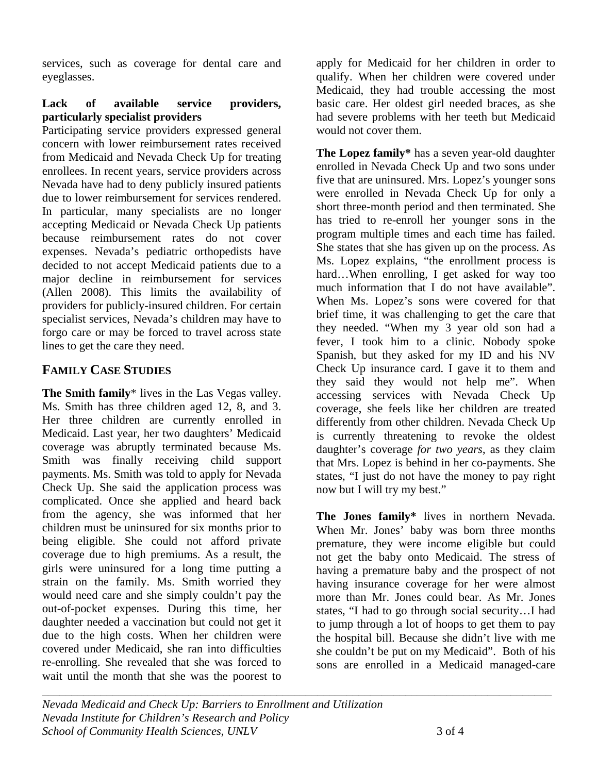services, such as coverage for dental care and eyeglasses.

#### **Lack of available service providers, particularly specialist providers**

Participating service providers expressed general concern with lower reimbursement rates received from Medicaid and Nevada Check Up for treating enrollees. In recent years, service providers across Nevada have had to deny publicly insured patients due to lower reimbursement for services rendered. In particular, many specialists are no longer accepting Medicaid or Nevada Check Up patients because reimbursement rates do not cover expenses. Nevada's pediatric orthopedists have decided to not accept Medicaid patients due to a major decline in reimbursement for services (Allen 2008). This limits the availability of providers for publicly-insured children. For certain specialist services, Nevada's children may have to forgo care or may be forced to travel across state lines to get the care they need.

# **FAMILY CASE STUDIES**

**The Smith family**\* lives in the Las Vegas valley. Ms. Smith has three children aged 12, 8, and 3. Her three children are currently enrolled in Medicaid. Last year, her two daughters' Medicaid coverage was abruptly terminated because Ms. Smith was finally receiving child support payments. Ms. Smith was told to apply for Nevada Check Up. She said the application process was complicated. Once she applied and heard back from the agency, she was informed that her children must be uninsured for six months prior to being eligible. She could not afford private coverage due to high premiums. As a result, the girls were uninsured for a long time putting a strain on the family. Ms. Smith worried they would need care and she simply couldn't pay the out-of-pocket expenses. During this time, her daughter needed a vaccination but could not get it due to the high costs. When her children were covered under Medicaid, she ran into difficulties re-enrolling. She revealed that she was forced to wait until the month that she was the poorest to

apply for Medicaid for her children in order to qualify. When her children were covered under Medicaid, they had trouble accessing the most basic care. Her oldest girl needed braces, as she had severe problems with her teeth but Medicaid would not cover them.

**The Lopez family\*** has a seven year-old daughter enrolled in Nevada Check Up and two sons under five that are uninsured. Mrs. Lopez's younger sons were enrolled in Nevada Check Up for only a short three-month period and then terminated. She has tried to re-enroll her younger sons in the program multiple times and each time has failed. She states that she has given up on the process. As Ms. Lopez explains, "the enrollment process is hard…When enrolling, I get asked for way too much information that I do not have available". When Ms. Lopez's sons were covered for that brief time, it was challenging to get the care that they needed. "When my 3 year old son had a fever, I took him to a clinic. Nobody spoke Spanish, but they asked for my ID and his NV Check Up insurance card. I gave it to them and they said they would not help me". When accessing services with Nevada Check Up coverage, she feels like her children are treated differently from other children. Nevada Check Up is currently threatening to revoke the oldest daughter's coverage *for two years*, as they claim that Mrs. Lopez is behind in her co-payments. She states, "I just do not have the money to pay right now but I will try my best."

**The Jones family\*** lives in northern Nevada. When Mr. Jones' baby was born three months premature, they were income eligible but could not get the baby onto Medicaid. The stress of having a premature baby and the prospect of not having insurance coverage for her were almost more than Mr. Jones could bear. As Mr. Jones states, "I had to go through social security…I had to jump through a lot of hoops to get them to pay the hospital bill. Because she didn't live with me she couldn't be put on my Medicaid". Both of his sons are enrolled in a Medicaid managed-care

*Nevada Medicaid and Check Up: Barriers to Enrollment and Utilization Nevada Institute for Children's Research and Policy School of Community Health Sciences, UNLV* 3 of 4

*\_\_\_\_\_\_\_\_\_\_\_\_\_\_\_\_\_\_\_\_\_\_\_\_\_\_\_\_\_\_\_\_\_\_\_\_\_\_\_\_\_\_\_\_\_\_\_\_\_\_\_\_\_\_\_\_\_\_\_\_\_\_\_\_\_\_\_\_\_\_\_\_\_\_\_\_\_\_\_\_\_\_\_\_\_\_\_*